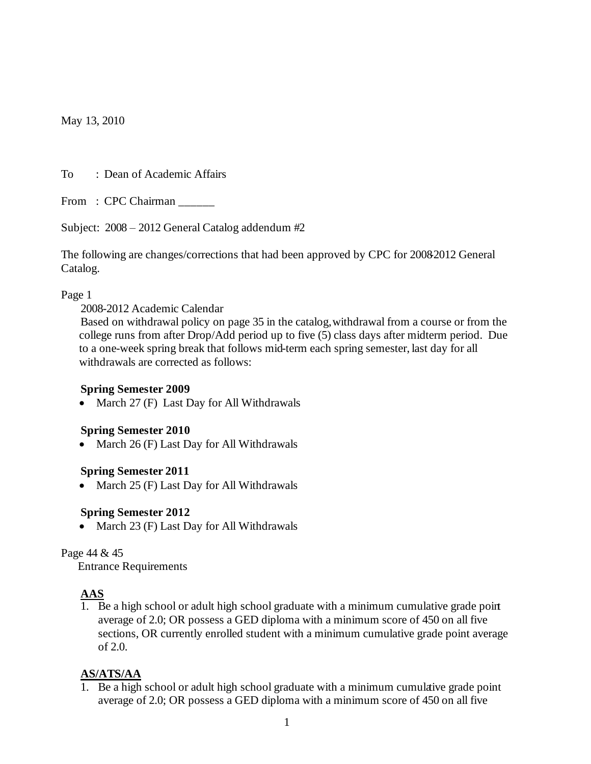May 13, 2010

To : Dean of Academic Affairs

From : CPC Chairman

Subject: 2008 – 2012 General Catalog addendum #2

The following are changes/corrections that had been approved by CPC for 20082012 General Catalog.

#### Page 1

2008-2012 Academic Calendar

 Based on withdrawal policy on page 35 in the catalog, withdrawal from a course or from the college runs from after Drop/Add period up to five (5) class days after midterm period. Due to a one-week spring break that follows mid-term each spring semester, last day for all withdrawals are corrected as follows:

## **Spring Semester 2009**

• March 27 (F) Last Day for All Withdrawals

#### **Spring Semester 2010**

March 26 (F) Last Day for All Withdrawals

## **Spring Semester 2011**

• March 25 (F) Last Day for All Withdrawals

## **Spring Semester 2012**

• March 23 (F) Last Day for All Withdrawals

#### Page 44 & 45

Entrance Requirements

# **AAS**

1. Be a high school or adult high school graduate with a minimum cumulative grade point average of 2.0; OR possess a GED diploma with a minimum score of 450 on all five sections, OR currently enrolled student with a minimum cumulative grade point average of 2.0.

## **AS/ATS/AA**

1. Be a high school or adult high school graduate with a minimum cumulative grade point average of 2.0; OR possess a GED diploma with a minimum score of 450 on all five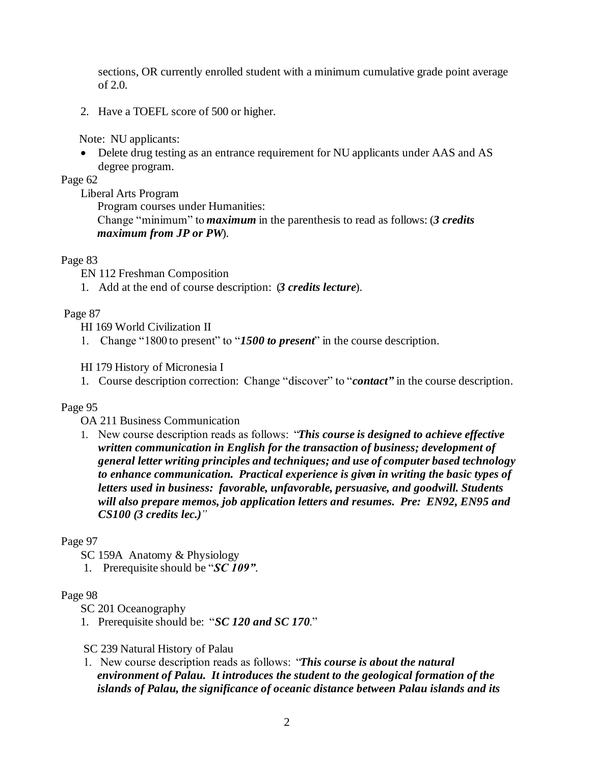sections, OR currently enrolled student with a minimum cumulative grade point average of 2.0.

2. Have a TOEFL score of 500 or higher.

Note: NU applicants:

 Delete drug testing as an entrance requirement for NU applicants under AAS and AS degree program.

Page 62

Liberal Arts Program

 Program courses under Humanities: Change "minimum" to *maximum* in the parenthesis to read as follows: (*3 credits maximum from JP or PW*).

#### Page 83

EN 112 Freshman Composition

1. Add at the end of course description: (*3 credits lecture*).

#### Page 87

HI 169 World Civilization II

1. Change "1800 to present" to "*1500 to present*" in the course description.

HI 179 History of Micronesia I

1. Course description correction: Change "discover" to "*contact"* in the course description.

## Page 95

OA 211 Business Communication

1. New course description reads as follows: "*This course is designed to achieve effective written communication in English for the transaction of business; development of general letter writing principles and techniques; and use of computer based technology to enhance communication. Practical experience is given in writing the basic types of letters used in business: favorable, unfavorable, persuasive, and goodwill. Students will also prepare memos, job application letters and resumes. Pre: EN92, EN95 and CS100 (3 credits lec.)"*

## Page 97

- SC 159A Anatomy & Physiology
- 1. Prerequisite should be "*SC 109"*.

#### Page 98

SC 201 Oceanography

1. Prerequisite should be: "*SC 120 and SC 170*."

## SC 239 Natural History of Palau

 1. New course description reads as follows: "*This course is about the natural environment of Palau. It introduces the student to the geological formation of the islands of Palau, the significance of oceanic distance between Palau islands and its*